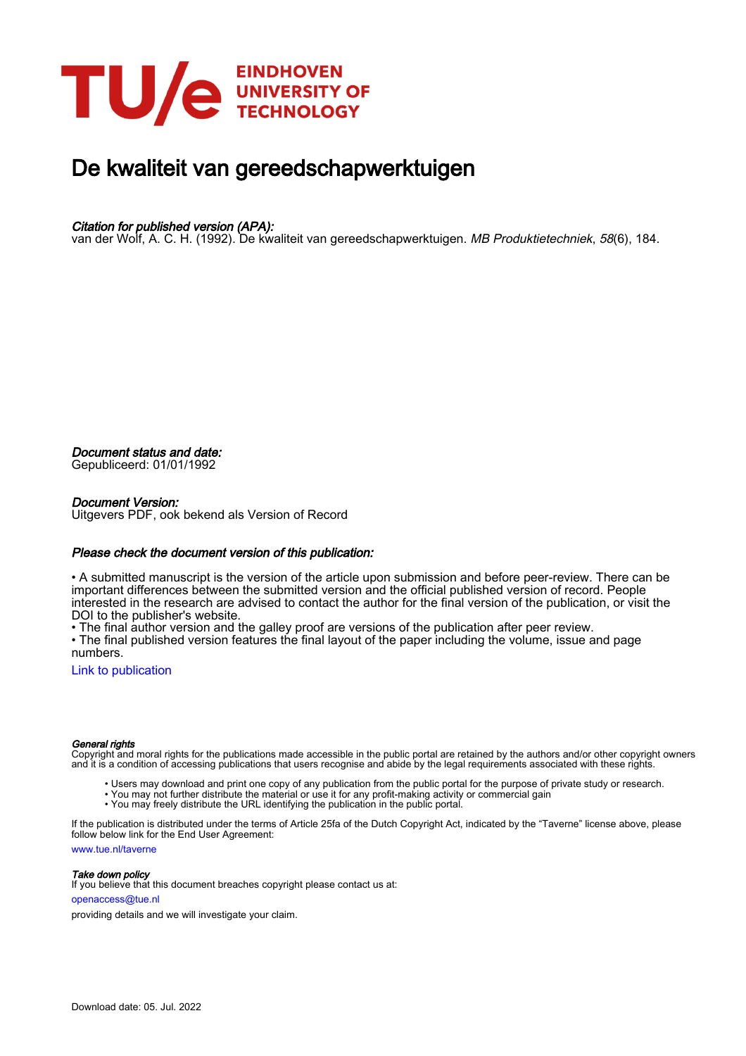

## De kwaliteit van gereedschapwerktuigen

### Citation for published version (APA):

van der Wolf, A. C. H. (1992). De kwaliteit van gereedschapwerktuigen. MB Produktietechniek, 58(6), 184.

Document status and date:

Gepubliceerd: 01/01/1992

#### Document Version:

Uitgevers PDF, ook bekend als Version of Record

#### Please check the document version of this publication:

• A submitted manuscript is the version of the article upon submission and before peer-review. There can be important differences between the submitted version and the official published version of record. People interested in the research are advised to contact the author for the final version of the publication, or visit the DOI to the publisher's website.

• The final author version and the galley proof are versions of the publication after peer review.

• The final published version features the final layout of the paper including the volume, issue and page numbers.

[Link to publication](https://research.tue.nl/nl/publications/2c1bf61d-6d68-4438-b35e-f4c769dd6237)

#### General rights

Copyright and moral rights for the publications made accessible in the public portal are retained by the authors and/or other copyright owners and it is a condition of accessing publications that users recognise and abide by the legal requirements associated with these rights.

- Users may download and print one copy of any publication from the public portal for the purpose of private study or research.
- You may not further distribute the material or use it for any profit-making activity or commercial gain
- You may freely distribute the URL identifying the publication in the public portal.

If the publication is distributed under the terms of Article 25fa of the Dutch Copyright Act, indicated by the "Taverne" license above, please follow below link for the End User Agreement:

www.tue.nl/taverne

**Take down policy**<br>If you believe that this document breaches copyright please contact us at:

openaccess@tue.nl

providing details and we will investigate your claim.